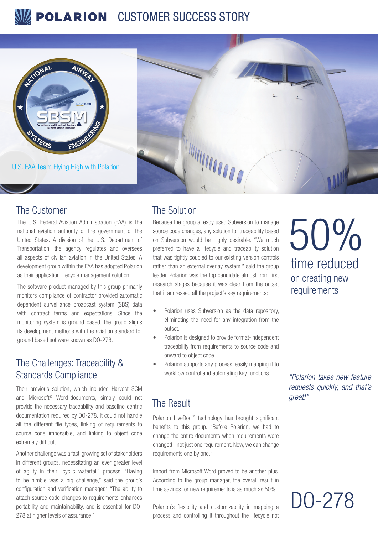# **POLARION** CUSTOMER SUCCESS STORY



U.S. FAA Team Flying High with Polarion

# 

## The Customer The Solution

The U.S. Federal Aviation Administration (FAA) is the national aviation authority of the government of the United States. A division of the U.S. Department of Transportation, the agency regulates and oversees all aspects of civilian aviation in the United States. A development group within the FAA has adopted Polarion as their application lifecycle management solution.

The software product managed by this group primarily monitors compliance of contractor provided automatic dependent surveillance broadcast system (SBS) data with contract terms and expectations. Since the monitoring system is ground based, the group aligns its development methods with the aviation standard for ground based software known as DO-278.

# The Challenges: Traceability & Standards Compliance

Their previous solution, which included Harvest SCM and Microsoft® Word documents, simply could not provide the necessary traceability and baseline centric documentation required by DO-278. It could not handle all the different file types, linking of requirements to source code impossible, and linking to object code extremely difficult.

Another challenge was a fast-growing set of stakeholders in different groups, necessitating an ever greater level of agility in their "cyclic waterfall" process. "Having to be nimble was a big challenge," said the group's configuration and verification manager.\* "The ability to attach source code changes to requirements enhances portability and maintainability, and is essential for DO-278 at higher levels of assurance."

Because the group already used Subversion to manage source code changes, any solution for traceability based on Subversion would be highly desirable. "We much preferred to have a lifecycle and traceability solution that was tightly coupled to our existing version controls rather than an external overlay system." said the group leader. Polarion was the top candidate almost from first research stages because it was clear from the outset that it addressed all the project's key requirements:

- Polarion uses Subversion as the data repository, eliminating the need for any integration from the outset.
- Polarion is designed to provide format-independent traceability from requirements to source code and onward to object code.
- Polarion supports any process, easily mapping it to workflow control and automating key functions.

# The Result

Polarion LiveDoc™ technology has brought significant benefits to this group. "Before Polarion, we had to change the entire documents when requirements were changed - not just one requirement. Now, we can change requirements one by one."

Import from Microsoft Word proved to be another plus. According to the group manager, the overall result in time savings for new requirements is as much as 50%.

Polarion's flexibility and customizability in mapping a process and controlling it throughout the lifecycle not

time reduced on creating new requirements 50%

*"Polarion takes new feature requests quickly, and that's great!"*

DO-278